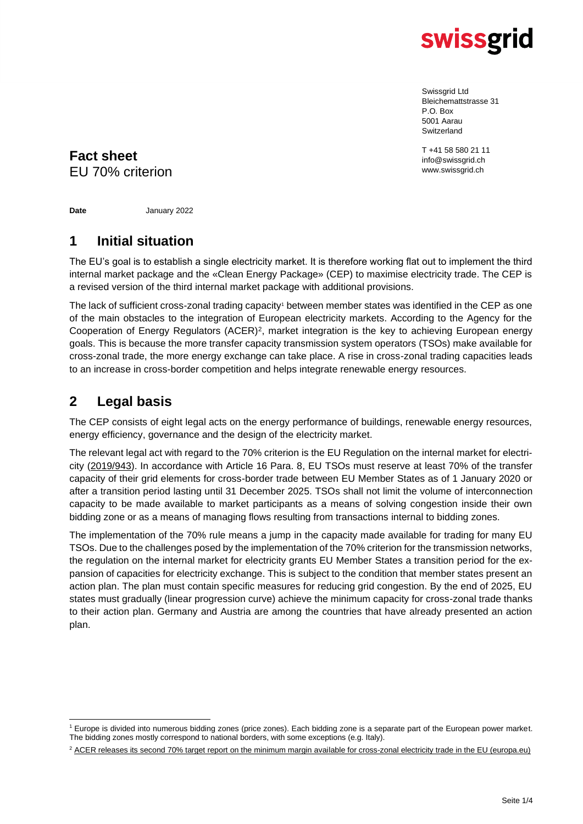

Swissgrid Ltd Bleichemattstrasse 31 P.O. Box 5001 Aarau Switzerland

T +41 58 580 21 11 info@swissgrid.ch www.swissgrid.ch

## **Fact sheet** EU 70% criterion

**Date** January 2022

### **1 Initial situation**

The EU's goal is to establish a single electricity market. It is therefore working flat out to implement the third internal market package and the «Clean Energy Package» (CEP) to maximise electricity trade. The CEP is a revised version of the third internal market package with additional provisions.

The lack of sufficient cross-zonal trading capacity<sup>1</sup> between member states was identified in the CEP as one of the main obstacles to the integration of European electricity markets. According to the Agency for the Cooperation of Energy Regulators (ACER)<sup>2</sup>, market integration is the key to achieving European energy goals. This is because the more transfer capacity transmission system operators (TSOs) make available for cross-zonal trade, the more energy exchange can take place. A rise in cross-zonal trading capacities leads to an increase in cross-border competition and helps integrate renewable energy resources.

## **2 Legal basis**

The CEP consists of eight legal acts on the energy performance of buildings, renewable energy resources, energy efficiency, governance and the design of the electricity market.

The relevant legal act with regard to the 70% criterion is the EU Regulation on the internal market for electricity [\(2019/943\)](https://eur-lex.europa.eu/legal-content/EN/TXT/PDF/?uri=CELEX:32019R0943&from=DE). In accordance with Article 16 Para. 8, EU TSOs must reserve at least 70% of the transfer capacity of their grid elements for cross-border trade between EU Member States as of 1 January 2020 or after a transition period lasting until 31 December 2025. TSOs shall not limit the volume of interconnection capacity to be made available to market participants as a means of solving congestion inside their own bidding zone or as a means of managing flows resulting from transactions internal to bidding zones.

The implementation of the 70% rule means a jump in the capacity made available for trading for many EU TSOs. Due to the challenges posed by the implementation of the 70% criterion for the transmission networks, the regulation on the internal market for electricity grants EU Member States a transition period for the expansion of capacities for electricity exchange. This is subject to the condition that member states present an action plan. The plan must contain specific measures for reducing grid congestion. By the end of 2025, EU states must gradually (linear progression curve) achieve the minimum capacity for cross-zonal trade thanks to their action plan. Germany and Austria are among the countries that have already presented an action plan.

<sup>1</sup> Europe is divided into numerous bidding zones (price zones). Each bidding zone is a separate part of the European power market. The bidding zones mostly correspond to national borders, with some exceptions (e.g. Italy).

<sup>&</sup>lt;sup>2</sup> [ACER releases its second 70% target report on the minimum margin available for cross-zonal electricity trade in the EU \(europa.eu\)](https://documents.acer.europa.eu/Media/News/Pages/ACER-releases-its-second-70-target-report-on-the-minimum-margin-available-for-cross-zonal-electricity-trade-in-the-EU.aspx)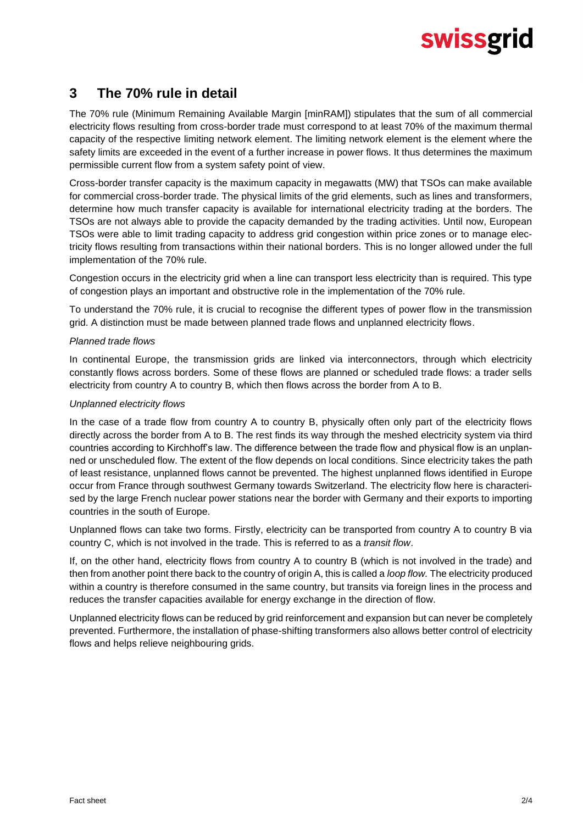# swissgrid

### **3 The 70% rule in detail**

The 70% rule (Minimum Remaining Available Margin [minRAM]) stipulates that the sum of all commercial electricity flows resulting from cross-border trade must correspond to at least 70% of the maximum thermal capacity of the respective limiting network element. The limiting network element is the element where the safety limits are exceeded in the event of a further increase in power flows. It thus determines the maximum permissible current flow from a system safety point of view.

Cross-border transfer capacity is the maximum capacity in megawatts (MW) that TSOs can make available for commercial cross-border trade. The physical limits of the grid elements, such as lines and transformers, determine how much transfer capacity is available for international electricity trading at the borders. The TSOs are not always able to provide the capacity demanded by the trading activities. Until now, European TSOs were able to limit trading capacity to address grid congestion within price zones or to manage electricity flows resulting from transactions within their national borders. This is no longer allowed under the full implementation of the 70% rule.

Congestion occurs in the electricity grid when a line can transport less electricity than is required. This type of congestion plays an important and obstructive role in the implementation of the 70% rule.

To understand the 70% rule, it is crucial to recognise the different types of power flow in the transmission grid. A distinction must be made between planned trade flows and unplanned electricity flows.

#### *Planned trade flows*

In continental Europe, the transmission grids are linked via interconnectors, through which electricity constantly flows across borders. Some of these flows are planned or scheduled trade flows: a trader sells electricity from country A to country B, which then flows across the border from A to B.

#### *Unplanned electricity flows*

In the case of a trade flow from country A to country B, physically often only part of the electricity flows directly across the border from A to B. The rest finds its way through the meshed electricity system via third countries according to Kirchhoff's law. The difference between the trade flow and physical flow is an unplanned or unscheduled flow. The extent of the flow depends on local conditions. Since electricity takes the path of least resistance, unplanned flows cannot be prevented. The highest unplanned flows identified in Europe occur from France through southwest Germany towards Switzerland. The electricity flow here is characterised by the large French nuclear power stations near the border with Germany and their exports to importing countries in the south of Europe.

Unplanned flows can take two forms. Firstly, electricity can be transported from country A to country B via country C, which is not involved in the trade. This is referred to as a *transit flow*.

If, on the other hand, electricity flows from country A to country B (which is not involved in the trade) and then from another point there back to the country of origin A, this is called a *loop flow.* The electricity produced within a country is therefore consumed in the same country, but transits via foreign lines in the process and reduces the transfer capacities available for energy exchange in the direction of flow.

Unplanned electricity flows can be reduced by grid reinforcement and expansion but can never be completely prevented. Furthermore, the installation of phase-shifting transformers also allows better control of electricity flows and helps relieve neighbouring grids.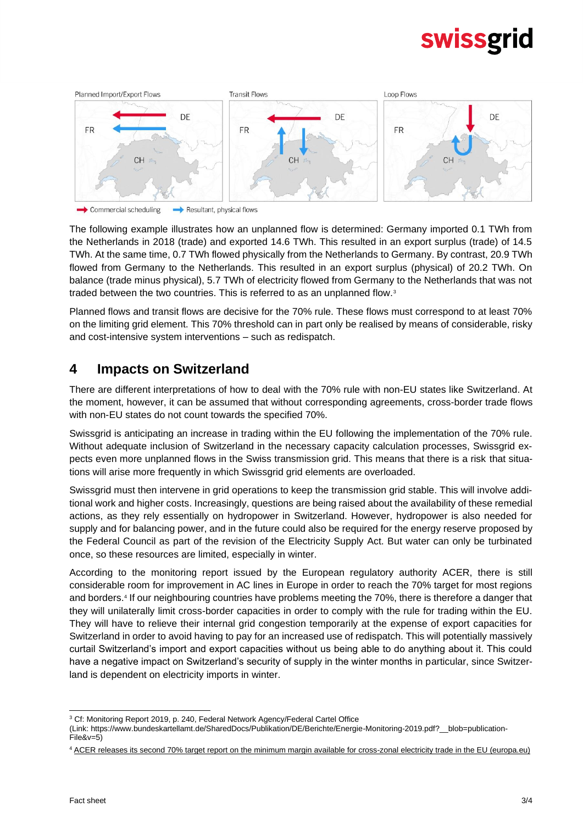# swissgrid



 $\longrightarrow$  Commercial scheduling Resultant, physical flows

The following example illustrates how an unplanned flow is determined: Germany imported 0.1 TWh from the Netherlands in 2018 (trade) and exported 14.6 TWh. This resulted in an export surplus (trade) of 14.5 TWh. At the same time, 0.7 TWh flowed physically from the Netherlands to Germany. By contrast, 20.9 TWh flowed from Germany to the Netherlands. This resulted in an export surplus (physical) of 20.2 TWh. On balance (trade minus physical), 5.7 TWh of electricity flowed from Germany to the Netherlands that was not traded between the two countries. This is referred to as an unplanned flow.<sup>3</sup>

Planned flows and transit flows are decisive for the 70% rule. These flows must correspond to at least 70% on the limiting grid element. This 70% threshold can in part only be realised by means of considerable, risky and cost-intensive system interventions – such as redispatch.

### **4 Impacts on Switzerland**

There are different interpretations of how to deal with the 70% rule with non-EU states like Switzerland. At the moment, however, it can be assumed that without corresponding agreements, cross-border trade flows with non-EU states do not count towards the specified 70%.

Swissgrid is anticipating an increase in trading within the EU following the implementation of the 70% rule. Without adequate inclusion of Switzerland in the necessary capacity calculation processes, Swissgrid expects even more unplanned flows in the Swiss transmission grid. This means that there is a risk that situations will arise more frequently in which Swissgrid grid elements are overloaded.

Swissgrid must then intervene in grid operations to keep the transmission grid stable. This will involve additional work and higher costs. Increasingly, questions are being raised about the availability of these remedial actions, as they rely essentially on hydropower in Switzerland. However, hydropower is also needed for supply and for balancing power, and in the future could also be required for the energy reserve proposed by the Federal Council as part of the revision of the Electricity Supply Act. But water can only be turbinated once, so these resources are limited, especially in winter.

According to the monitoring report issued by the European regulatory authority ACER, there is still considerable room for improvement in AC lines in Europe in order to reach the 70% target for most regions and borders.<sup>4</sup> If our neighbouring countries have problems meeting the 70%, there is therefore a danger that they will unilaterally limit cross-border capacities in order to comply with the rule for trading within the EU. They will have to relieve their internal grid congestion temporarily at the expense of export capacities for Switzerland in order to avoid having to pay for an increased use of redispatch. This will potentially massively curtail Switzerland's import and export capacities without us being able to do anything about it. This could have a negative impact on Switzerland's security of supply in the winter months in particular, since Switzerland is dependent on electricity imports in winter.

<sup>3</sup> Cf: Monitoring Report 2019, p. 240, Federal Network Agency/Federal Cartel Office

<sup>(</sup>Link: https://www.bundeskartellamt.de/SharedDocs/Publikation/DE/Berichte/Energie-Monitoring-2019.pdf?\_\_blob=publication-File&v=5)

<sup>4</sup> ACER releases its second 70% target report on [the minimum margin available for cross-zonal electricity trade in the EU \(europa.eu\)](https://documents.acer.europa.eu/Media/News/Pages/ACER-releases-its-second-70-target-report-on-the-minimum-margin-available-for-cross-zonal-electricity-trade-in-the-EU.aspx)